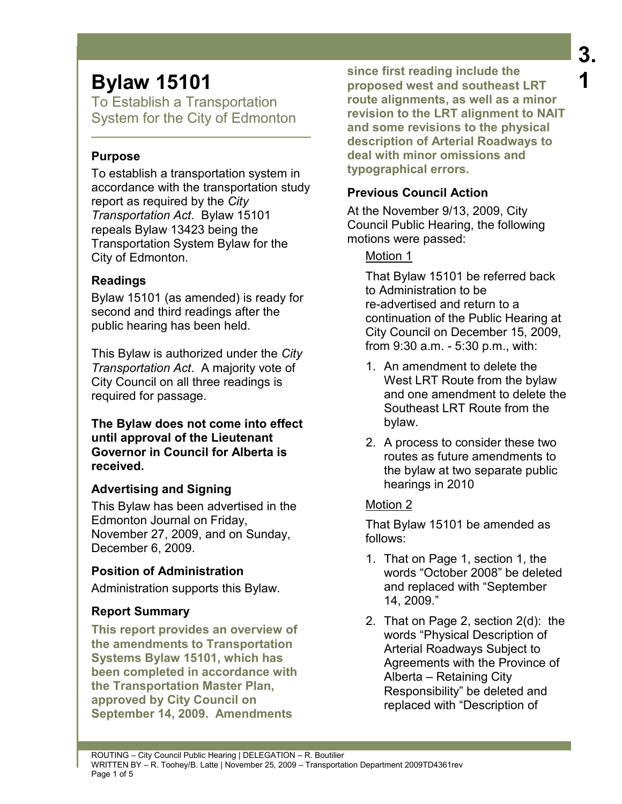To Establish a Transportation System for the City of Edmonton

## **Purpose**

To establish a transportation system in accordance with the transportation study report as required by the *City Transportation Act*. Bylaw 15101 repeals Bylaw 13423 being the Transportation System Bylaw for the City of Edmonton.

# **Readings**

Bylaw 15101 (as amended) is ready for second and third readings after the public hearing has been held.

This Bylaw is authorized under the *City Transportation Act*. A majority vote of City Council on all three readings is required for passage.

**The Bylaw does not come into effect until approval of the Lieutenant Governor in Council for Alberta is received.** 

# **Advertising and Signing**

This Bylaw has been advertised in the Edmonton Journal on Friday, November 27, 2009, and on Sunday, December 6, 2009.

# **Position of Administration**

Administration supports this Bylaw.

# **Report Summary**

**This report provides an overview of the amendments to Transportation Systems Bylaw 15101, which has been completed in accordance with the Transportation Master Plan, approved by City Council on September 14, 2009. Amendments** 

**since first reading include the proposed west and southeast LRT route alignments, as well as a minor revision to the LRT alignment to NAIT and some revisions to the physical description of Arterial Roadways to deal with minor omissions and typographical errors.** 

# **Previous Council Action**

At the November 9/13, 2009, City Council Public Hearing, the following motions were passed:

# Motion 1

That Bylaw 15101 be referred back to Administration to be re-advertised and return to a continuation of the Public Hearing at City Council on December 15, 2009, from 9:30 a.m. - 5:30 p.m., with:

- 1. An amendment to delete the West LRT Route from the bylaw and one amendment to delete the Southeast LRT Route from the bylaw.
- 2. A process to consider these two routes as future amendments to the bylaw at two separate public hearings in 2010

# Motion 2

That Bylaw 15101 be amended as follows:

- 1. That on Page 1, section 1, the words "October 2008" be deleted and replaced with "September 14, 2009."
- 2. That on Page 2, section 2(d): the words "Physical Description of Arterial Roadways Subject to Agreements with the Province of Alberta – Retaining City Responsibility" be deleted and replaced with "Description of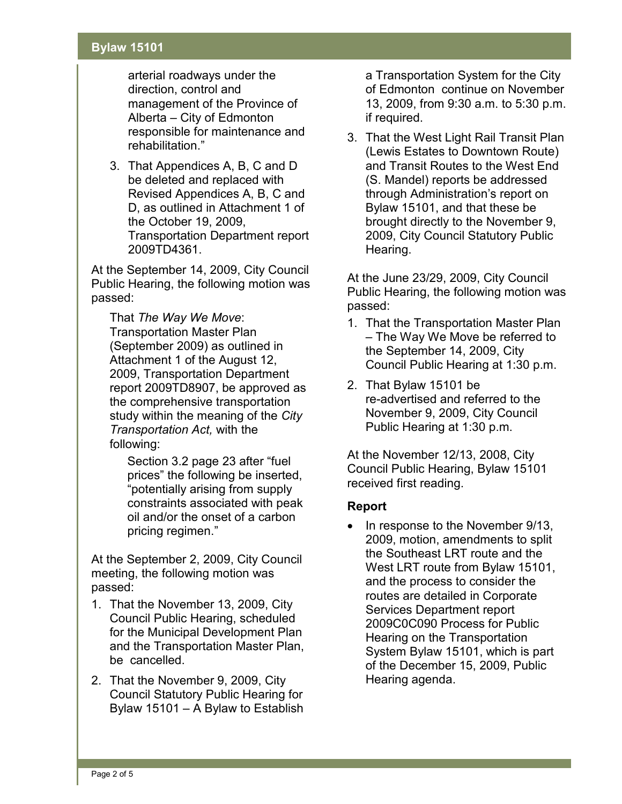arterial roadways under the direction, control and management of the Province of Alberta – City of Edmonton responsible for maintenance and rehabilitation."

3. That Appendices A, B, C and D be deleted and replaced with Revised Appendices A, B, C and D, as outlined in Attachment 1 of the October 19, 2009, Transportation Department report 2009TD4361.

At the September 14, 2009, City Council Public Hearing, the following motion was passed:

That *The Way We Move*: Transportation Master Plan (September 2009) as outlined in Attachment 1 of the August 12, 2009, Transportation Department report 2009TD8907, be approved as the comprehensive transportation study within the meaning of the *City Transportation Act,* with the following:

Section 3.2 page 23 after "fuel prices" the following be inserted, "potentially arising from supply constraints associated with peak oil and/or the onset of a carbon pricing regimen."

At the September 2, 2009, City Council meeting, the following motion was passed:

- 1. That the November 13, 2009, City Council Public Hearing, scheduled for the Municipal Development Plan and the Transportation Master Plan, be cancelled.
- 2. That the November 9, 2009, City Council Statutory Public Hearing for Bylaw 15101 – A Bylaw to Establish

a Transportation System for the City of Edmonton continue on November 13, 2009, from 9:30 a.m. to 5:30 p.m. if required.

3. That the West Light Rail Transit Plan (Lewis Estates to Downtown Route) and Transit Routes to the West End (S. Mandel) reports be addressed through Administration's report on Bylaw 15101, and that these be brought directly to the November 9, 2009, City Council Statutory Public Hearing.

At the June 23/29, 2009, City Council Public Hearing, the following motion was passed:

- 1. That the Transportation Master Plan – The Way We Move be referred to the September 14, 2009, City Council Public Hearing at 1:30 p.m.
- 2. That Bylaw 15101 be re-advertised and referred to the November 9, 2009, City Council Public Hearing at 1:30 p.m.

At the November 12/13, 2008, City Council Public Hearing, Bylaw 15101 received first reading.

### **Report**

• In response to the November 9/13, 2009, motion, amendments to split the Southeast LRT route and the West LRT route from Bylaw 15101, and the process to consider the routes are detailed in Corporate Services Department report 2009C0C090 Process for Public Hearing on the Transportation System Bylaw 15101, which is part of the December 15, 2009, Public Hearing agenda.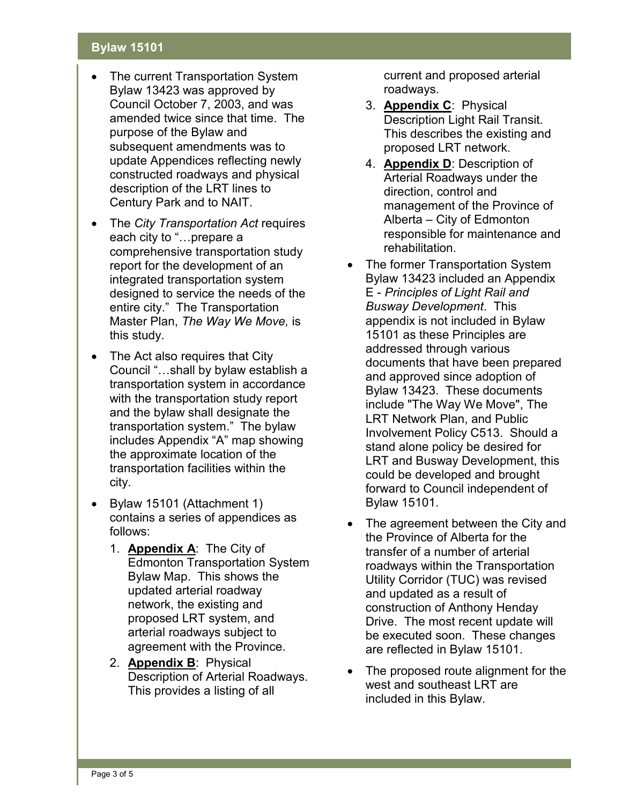- The current Transportation System Bylaw 13423 was approved by Council October 7, 2003, and was amended twice since that time. The purpose of the Bylaw and subsequent amendments was to update Appendices reflecting newly constructed roadways and physical description of the LRT lines to Century Park and to NAIT.
- The *City Transportation Act* requires each city to "... prepare a comprehensive transportation study report for the development of an integrated transportation system designed to service the needs of the entire city." The Transportation Master Plan, *The Way We Move,* is this study.
- The Act also requires that City Council "…shall by bylaw establish a transportation system in accordance with the transportation study report and the bylaw shall designate the transportation system." The bylaw includes Appendix "A" map showing the approximate location of the transportation facilities within the city.
- Bylaw 15101 (Attachment 1) contains a series of appendices as follows:
	- 1. **Appendix A**: The City of Edmonton Transportation System Bylaw Map. This shows the updated arterial roadway network, the existing and proposed LRT system, and arterial roadways subject to agreement with the Province.
	- 2. **Appendix B**: Physical Description of Arterial Roadways. This provides a listing of all

current and proposed arterial roadways.

- 3. **Appendix C**: Physical Description Light Rail Transit. This describes the existing and proposed LRT network.
- 4. **Appendix D**: Description of Arterial Roadways under the direction, control and management of the Province of Alberta – City of Edmonton responsible for maintenance and rehabilitation.
- The former Transportation System Bylaw 13423 included an Appendix E - *Principles of Light Rail and Busway Development*. This appendix is not included in Bylaw 15101 as these Principles are addressed through various documents that have been prepared and approved since adoption of Bylaw 13423. These documents include "The Way We Move", The LRT Network Plan, and Public Involvement Policy C513. Should a stand alone policy be desired for LRT and Busway Development, this could be developed and brought forward to Council independent of Bylaw 15101.
- The agreement between the City and the Province of Alberta for the transfer of a number of arterial roadways within the Transportation Utility Corridor (TUC) was revised and updated as a result of construction of Anthony Henday Drive. The most recent update will be executed soon. These changes are reflected in Bylaw 15101.
- The proposed route alignment for the west and southeast LRT are included in this Bylaw.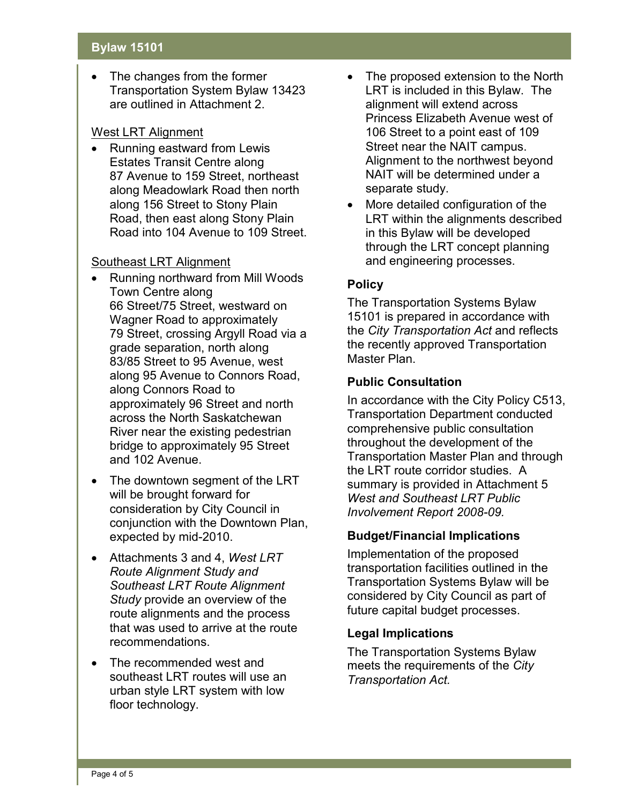The changes from the former Transportation System Bylaw 13423 are outlined in Attachment 2.

### West LRT Alignment

• Running eastward from Lewis Estates Transit Centre along 87 Avenue to 159 Street, northeast along Meadowlark Road then north along 156 Street to Stony Plain Road, then east along Stony Plain Road into 104 Avenue to 109 Street.

### Southeast LRT Alignment

- Running northward from Mill Woods Town Centre along 66 Street/75 Street, westward on Wagner Road to approximately 79 Street, crossing Argyll Road via a grade separation, north along 83/85 Street to 95 Avenue, west along 95 Avenue to Connors Road, along Connors Road to approximately 96 Street and north across the North Saskatchewan River near the existing pedestrian bridge to approximately 95 Street and 102 Avenue.
- The downtown segment of the LRT will be brought forward for consideration by City Council in conjunction with the Downtown Plan, expected by mid-2010.
- Attachments 3 and 4, *West LRT Route Alignment Study and Southeast LRT Route Alignment Study* provide an overview of the route alignments and the process that was used to arrive at the route recommendations.
- The recommended west and southeast LRT routes will use an urban style LRT system with low floor technology.
- The proposed extension to the North LRT is included in this Bylaw. The alignment will extend across Princess Elizabeth Avenue west of 106 Street to a point east of 109 Street near the NAIT campus. Alignment to the northwest beyond NAIT will be determined under a separate study.
- More detailed configuration of the LRT within the alignments described in this Bylaw will be developed through the LRT concept planning and engineering processes.

## **Policy**

The Transportation Systems Bylaw 15101 is prepared in accordance with the *City Transportation Act* and reflects the recently approved Transportation Master Plan.

## **Public Consultation**

In accordance with the City Policy C513, Transportation Department conducted comprehensive public consultation throughout the development of the Transportation Master Plan and through the LRT route corridor studies. A summary is provided in Attachment 5 *West and Southeast LRT Public Involvement Report 2008-09.*

### **Budget/Financial Implications**

Implementation of the proposed transportation facilities outlined in the Transportation Systems Bylaw will be considered by City Council as part of future capital budget processes.

### **Legal Implications**

The Transportation Systems Bylaw meets the requirements of the *City Transportation Act.*